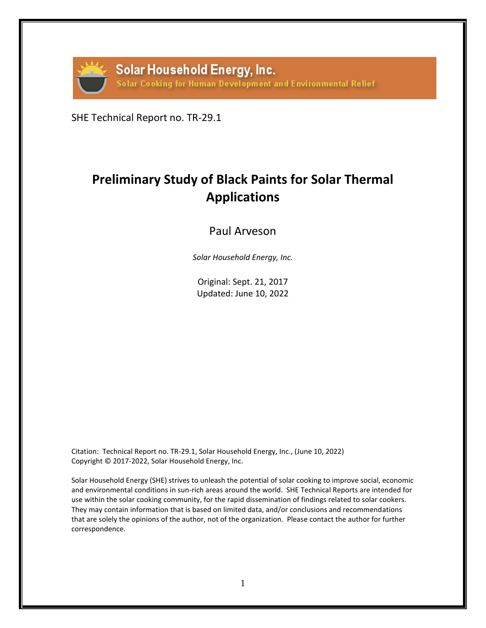

SHE Technical Report no. TR-29.1

# **Preliminary Study of Black Paints for Solar Thermal Applications**

# Paul Arveson

*Solar Household Energy, Inc.* 

Original: Sept. 21, 2017 Updated: June 10, 2022

Citation: Technical Report no. TR-29.1, Solar Household Energy, Inc., (June 10, 2022) Copyright © 2017-2022, Solar Household Energy, Inc.

Solar Household Energy (SHE) strives to unleash the potential of solar cooking to improve social, economic and environmental conditions in sun-rich areas around the world. SHE Technical Reports are intended for use within the solar cooking community, for the rapid dissemination of findings related to solar cookers. They may contain information that is based on limited data, and/or conclusions and recommendations that are solely the opinions of the author, not of the organization. Please contact the author for further correspondence.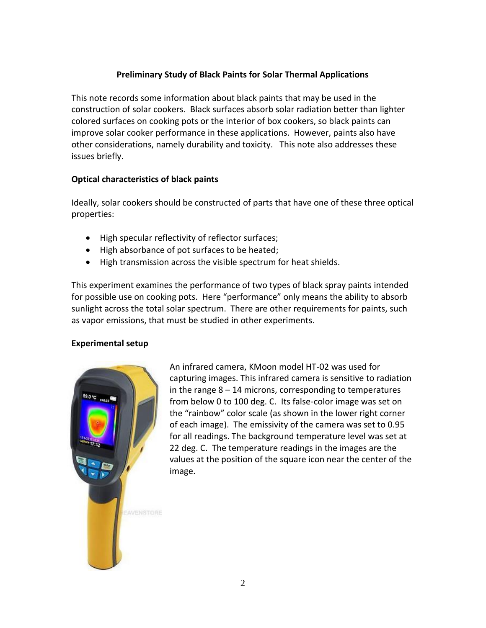## **Preliminary Study of Black Paints for Solar Thermal Applications**

This note records some information about black paints that may be used in the construction of solar cookers. Black surfaces absorb solar radiation better than lighter colored surfaces on cooking pots or the interior of box cookers, so black paints can improve solar cooker performance in these applications. However, paints also have other considerations, namely durability and toxicity. This note also addresses these issues briefly.

#### **Optical characteristics of black paints**

Ideally, solar cookers should be constructed of parts that have one of these three optical properties:

- High specular reflectivity of reflector surfaces;
- High absorbance of pot surfaces to be heated;
- High transmission across the visible spectrum for heat shields.

This experiment examines the performance of two types of black spray paints intended for possible use on cooking pots. Here "performance" only means the ability to absorb sunlight across the total solar spectrum. There are other requirements for paints, such as vapor emissions, that must be studied in other experiments.

### **Experimental setup**



An infrared camera, KMoon model HT-02 was used for capturing images. This infrared camera is sensitive to radiation in the range  $8 - 14$  microns, corresponding to temperatures from below 0 to 100 deg. C. Its false-color image was set on the "rainbow" color scale (as shown in the lower right corner of each image). The emissivity of the camera was set to 0.95 for all readings. The background temperature level was set at 22 deg. C. The temperature readings in the images are the values at the position of the square icon near the center of the image.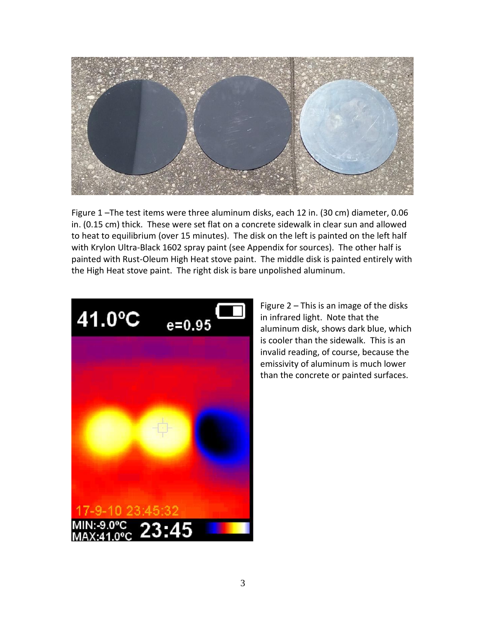

Figure 1 –The test items were three aluminum disks, each 12 in. (30 cm) diameter, 0.06 in. (0.15 cm) thick. These were set flat on a concrete sidewalk in clear sun and allowed to heat to equilibrium (over 15 minutes). The disk on the left is painted on the left half with Krylon Ultra-Black 1602 spray paint (see Appendix for sources). The other half is painted with Rust-Oleum High Heat stove paint. The middle disk is painted entirely with the High Heat stove paint. The right disk is bare unpolished aluminum.



Figure 2 – This is an image of the disks in infrared light. Note that the aluminum disk, shows dark blue, which is cooler than the sidewalk. This is an invalid reading, of course, because the emissivity of aluminum is much lower than the concrete or painted surfaces.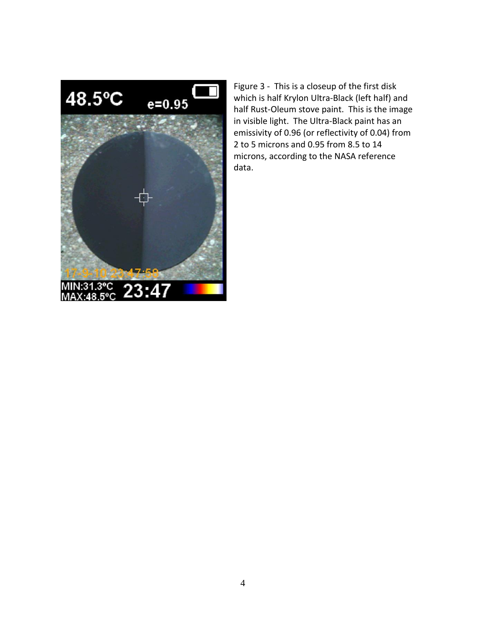

Figure 3 - This is a closeup of the first disk which is half Krylon Ultra-Black (left half) and half Rust-Oleum stove paint. This is the image in visible light. The Ultra-Black paint has an emissivity of 0.96 (or reflectivity of 0.04) from 2 to 5 microns and 0.95 from 8.5 to 14 microns, according to the NASA reference data.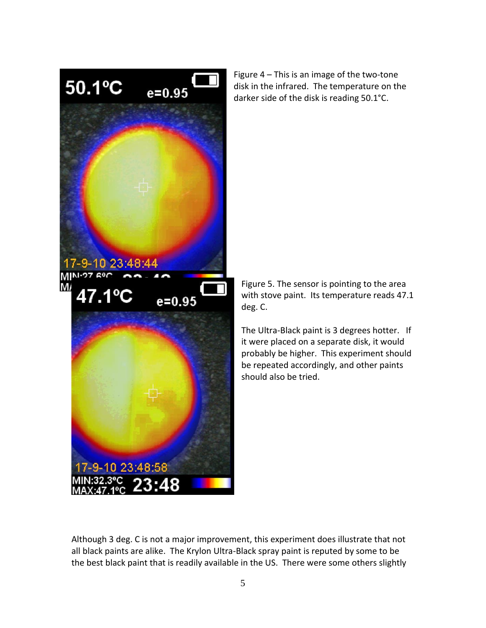

Figure 4 – This is an image of the two-tone disk in the infrared. The temperature on the darker side of the disk is reading 50.1°C.

Figure 5. The sensor is pointing to the area with stove paint. Its temperature reads 47.1 deg. C.

The Ultra-Black paint is 3 degrees hotter. If it were placed on a separate disk, it would probably be higher. This experiment should be repeated accordingly, and other paints should also be tried.

Although 3 deg. C is not a major improvement, this experiment does illustrate that not all black paints are alike. The Krylon Ultra-Black spray paint is reputed by some to be the best black paint that is readily available in the US. There were some others slightly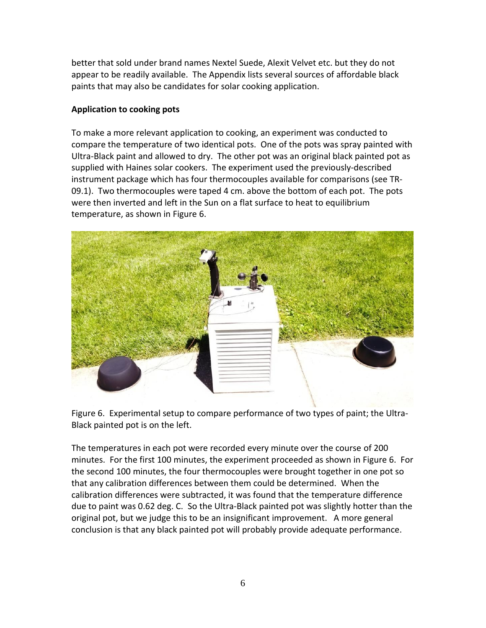better that sold under brand names Nextel Suede, Alexit Velvet etc. but they do not appear to be readily available. The Appendix lists several sources of affordable black paints that may also be candidates for solar cooking application.

#### **Application to cooking pots**

To make a more relevant application to cooking, an experiment was conducted to compare the temperature of two identical pots. One of the pots was spray painted with Ultra-Black paint and allowed to dry. The other pot was an original black painted pot as supplied with Haines solar cookers. The experiment used the previously-described instrument package which has four thermocouples available for comparisons (see TR-09.1). Two thermocouples were taped 4 cm. above the bottom of each pot. The pots were then inverted and left in the Sun on a flat surface to heat to equilibrium temperature, as shown in Figure 6.



Figure 6. Experimental setup to compare performance of two types of paint; the Ultra-Black painted pot is on the left.

The temperatures in each pot were recorded every minute over the course of 200 minutes. For the first 100 minutes, the experiment proceeded as shown in Figure 6. For the second 100 minutes, the four thermocouples were brought together in one pot so that any calibration differences between them could be determined. When the calibration differences were subtracted, it was found that the temperature difference due to paint was 0.62 deg. C. So the Ultra-Black painted pot was slightly hotter than the original pot, but we judge this to be an insignificant improvement. A more general conclusion is that any black painted pot will probably provide adequate performance.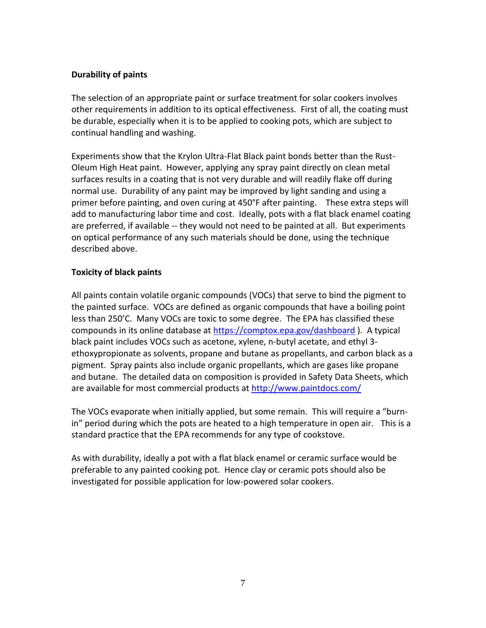#### **Durability of paints**

The selection of an appropriate paint or surface treatment for solar cookers involves other requirements in addition to its optical effectiveness. First of all, the coating must be durable, especially when it is to be applied to cooking pots, which are subject to continual handling and washing.

Experiments show that the Krylon Ultra-Flat Black paint bonds better than the Rust-Oleum High Heat paint. However, applying any spray paint directly on clean metal surfaces results in a coating that is not very durable and will readily flake off during normal use. Durability of any paint may be improved by light sanding and using a primer before painting, and oven curing at 450°F after painting. These extra steps will add to manufacturing labor time and cost. Ideally, pots with a flat black enamel coating are preferred, if available -- they would not need to be painted at all. But experiments on optical performance of any such materials should be done, using the technique described above.

### **Toxicity of black paints**

All paints contain volatile organic compounds (VOCs) that serve to bind the pigment to the painted surface. VOCs are defined as organic compounds that have a boiling point less than 250'C. Many VOCs are toxic to some degree. The EPA has classified these compounds in its online database at<https://comptox.epa.gov/dashboard>). A typical black paint includes VOCs such as acetone, xylene, n-butyl acetate, and ethyl 3 ethoxypropionate as solvents, propane and butane as propellants, and carbon black as a pigment. Spray paints also include organic propellants, which are gases like propane and butane. The detailed data on composition is provided in Safety Data Sheets, which are available for most commercial products at<http://www.paintdocs.com/>

The VOCs evaporate when initially applied, but some remain. This will require a "burnin" period during which the pots are heated to a high temperature in open air. This is a standard practice that the EPA recommends for any type of cookstove.

As with durability, ideally a pot with a flat black enamel or ceramic surface would be preferable to any painted cooking pot. Hence clay or ceramic pots should also be investigated for possible application for low-powered solar cookers.